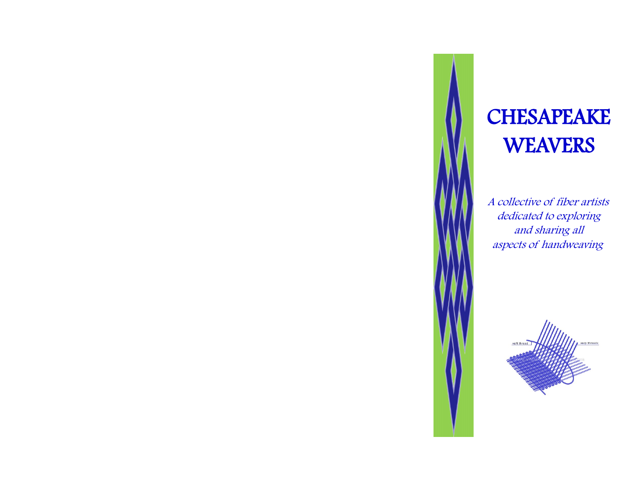# **CHESAPEAKE WEAVERS**

 A collective of fiber artists dedicated to exploring and sharing all aspects of handweaving